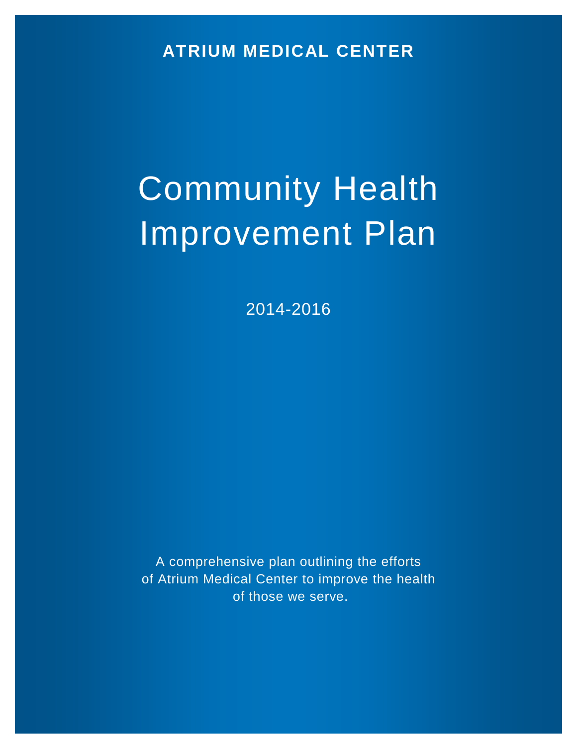**ATRIUM MEDICAL CENTER**

# Community Health Improvement Plan

2014-2016

A comprehensive plan outlining the efforts of Atrium Medical Center to improve the health of those we serve.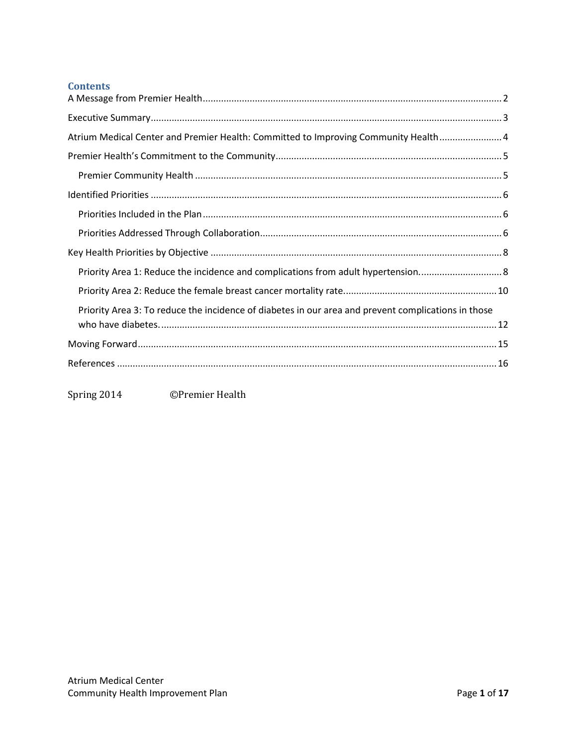# **Contents**

| Atrium Medical Center and Premier Health: Committed to Improving Community Health 4                 |
|-----------------------------------------------------------------------------------------------------|
|                                                                                                     |
|                                                                                                     |
|                                                                                                     |
|                                                                                                     |
|                                                                                                     |
|                                                                                                     |
| Priority Area 1: Reduce the incidence and complications from adult hypertension 8                   |
|                                                                                                     |
| Priority Area 3: To reduce the incidence of diabetes in our area and prevent complications in those |
|                                                                                                     |
|                                                                                                     |

Spring 2014 ©Premier Health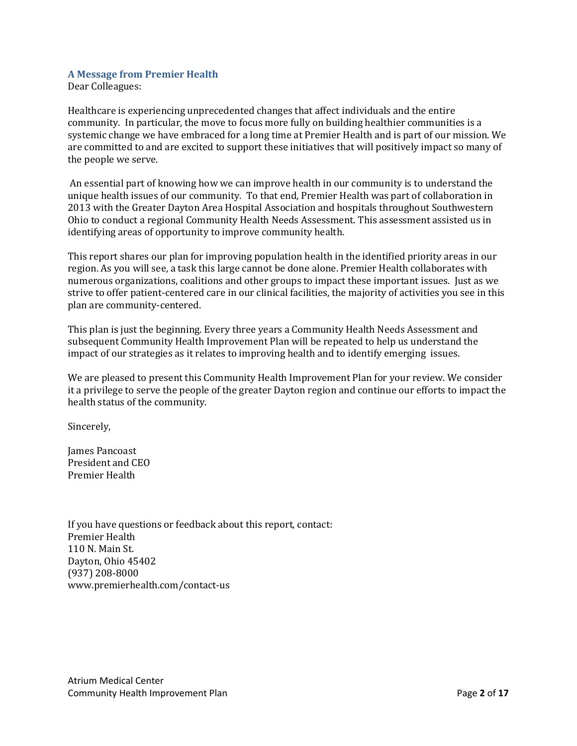# <span id="page-2-0"></span>**A Message from Premier Health**

Dear Colleagues:

Healthcare is experiencing unprecedented changes that affect individuals and the entire community. In particular, the move to focus more fully on building healthier communities is a systemic change we have embraced for a long time at Premier Health and is part of our mission. We are committed to and are excited to support these initiatives that will positively impact so many of the people we serve.

An essential part of knowing how we can improve health in our community is to understand the unique health issues of our community. To that end, Premier Health was part of collaboration in 2013 with the Greater Dayton Area Hospital Association and hospitals throughout Southwestern Ohio to conduct a regional Community Health Needs Assessment. This assessment assisted us in identifying areas of opportunity to improve community health.

This report shares our plan for improving population health in the identified priority areas in our region. As you will see, a task this large cannot be done alone. Premier Health collaborates with numerous organizations, coalitions and other groups to impact these important issues. Just as we strive to offer patient-centered care in our clinical facilities, the majority of activities you see in this plan are community-centered.

This plan is just the beginning. Every three years a Community Health Needs Assessment and subsequent Community Health Improvement Plan will be repeated to help us understand the impact of our strategies as it relates to improving health and to identify emerging issues.

We are pleased to present this Community Health Improvement Plan for your review. We consider it a privilege to serve the people of the greater Dayton region and continue our efforts to impact the health status of the community.

Sincerely,

James Pancoast President and CEO Premier Health

If you have questions or feedback about this report, contact: Premier Health 110 N. Main St. Dayton, Ohio 45402 (937) 208-8000 www.premierhealth.com/contact-us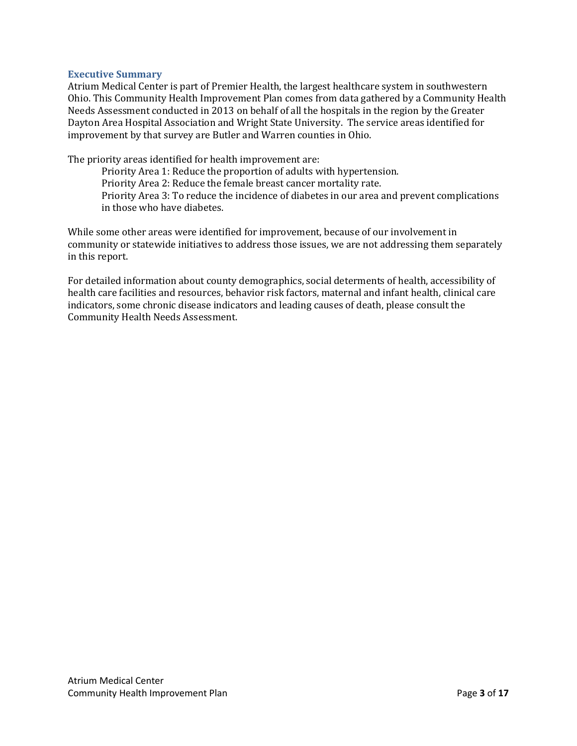## <span id="page-3-0"></span>**Executive Summary**

Atrium Medical Center is part of Premier Health, the largest healthcare system in southwestern Ohio. This Community Health Improvement Plan comes from data gathered by a Community Health Needs Assessment conducted in 2013 on behalf of all the hospitals in the region by the Greater Dayton Area Hospital Association and Wright State University. The service areas identified for improvement by that survey are Butler and Warren counties in Ohio.

The priority areas identified for health improvement are:

Priority Area 1: Reduce the proportion of adults with hypertension. Priority Area 2: Reduce the female breast cancer mortality rate. Priority Area 3: To reduce the incidence of diabetes in our area and prevent complications in those who have diabetes.

While some other areas were identified for improvement, because of our involvement in community or statewide initiatives to address those issues, we are not addressing them separately in this report.

For detailed information about county demographics, social determents of health, accessibility of health care facilities and resources, behavior risk factors, maternal and infant health, clinical care indicators, some chronic disease indicators and leading causes of death, please consult the Community Health Needs Assessment.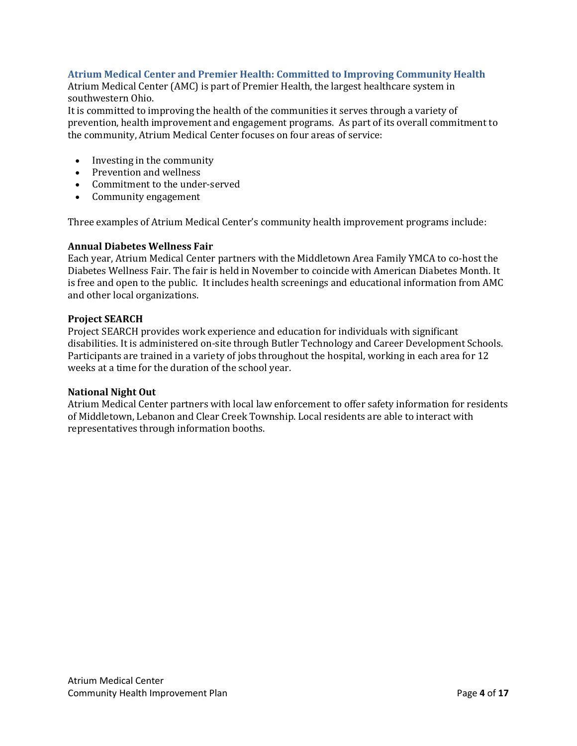# <span id="page-4-0"></span>**Atrium Medical Center and Premier Health: Committed to Improving Community Health**

Atrium Medical Center (AMC) is part of Premier Health, the largest healthcare system in southwestern Ohio.

It is committed to improving the health of the communities it serves through a variety of prevention, health improvement and engagement programs. As part of its overall commitment to the community, Atrium Medical Center focuses on four areas of service:

- [Investing in the community](http://www.miamivalleyhospital.org/WorkArea/linkit.aspx?LinkIdentifier=id&ItemID=10924)
- [Prevention and wellness](http://www.miamivalleyhospital.org/WorkArea/linkit.aspx?LinkIdentifier=id&ItemID=10922)
- [Commitment to the under-served](http://www.miamivalleyhospital.org/WorkArea/linkit.aspx?LinkIdentifier=id&ItemID=10918)
- [Community engagement](http://www.miamivalleyhospital.org/WorkArea/linkit.aspx?LinkIdentifier=id&ItemID=10916)

Three examples of Atrium Medical Center's community health improvement programs include:

#### **Annual Diabetes Wellness Fair**

Each year, Atrium Medical Center partners with the Middletown Area Family YMCA to co-host the Diabetes Wellness Fair. The fair is held in November to coincide with American Diabetes Month. It is free and open to the public. It includes health screenings and educational information from AMC and other local organizations.

#### **Project SEARCH**

Project SEARCH provides work experience and education for individuals with significant disabilities. It is administered on-site through Butler Technology and Career Development Schools. Participants are trained in a variety of jobs throughout the hospital, working in each area for 12 weeks at a time for the duration of the school year.

#### **National Night Out**

Atrium Medical Center partners with local law enforcement to offer safety information for residents of Middletown, Lebanon and Clear Creek Township. Local residents are able to interact with representatives through information booths.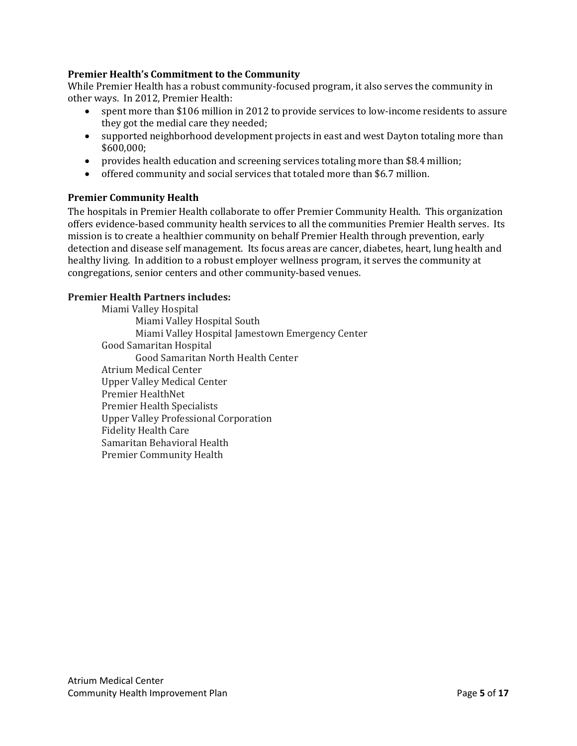# <span id="page-5-0"></span>**Premier Health's Commitment to the Community**

While Premier Health has a robust community-focused program, it also serves the community in other ways. In 2012, Premier Health:

- spent more than \$106 million in 2012 to provide services to low-income residents to assure they got the medial care they needed;
- supported neighborhood development projects in east and west Dayton totaling more than \$600,000;
- provides health education and screening services totaling more than \$8.4 million;
- offered community and social services that totaled more than \$6.7 million.

# <span id="page-5-1"></span>**Premier Community Health**

The hospitals in Premier Health collaborate to offer Premier Community Health. This organization offers evidence-based community health services to all the communities Premier Health serves. Its mission is to create a healthier community on behalf Premier Health through prevention, early detection and disease self management. Its focus areas are cancer, diabetes, heart, lung health and healthy living. In addition to a robust employer wellness program, it serves the community at congregations, senior centers and other community-based venues.

## **Premier Health Partners includes:**

Miami Valley Hospital Miami Valley Hospital South Miami Valley Hospital Jamestown Emergency Center Good Samaritan Hospital Good Samaritan North Health Center Atrium Medical Center Upper Valley Medical Center Premier HealthNet Premier Health Specialists Upper Valley Professional Corporation Fidelity Health Care Samaritan Behavioral Health Premier Community Health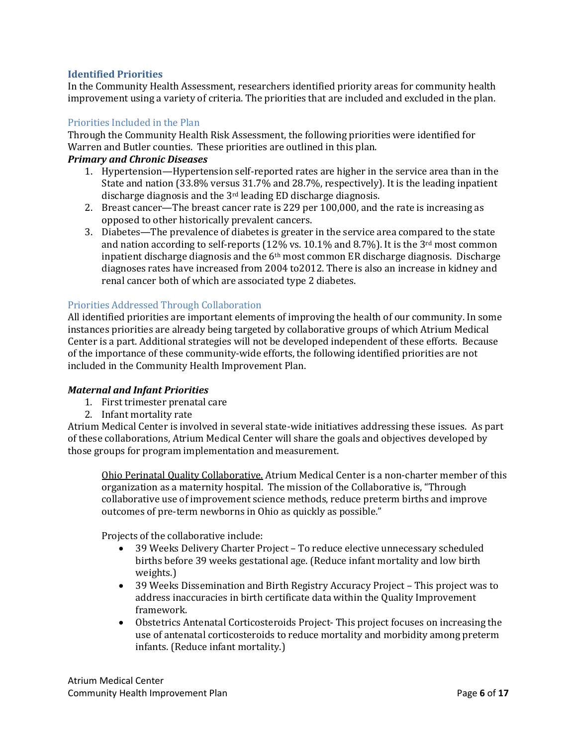# <span id="page-6-0"></span>**Identified Priorities**

In the Community Health Assessment, researchers identified priority areas for community health improvement using a variety of criteria. The priorities that are included and excluded in the plan.

## <span id="page-6-1"></span>Priorities Included in the Plan

Through the Community Health Risk Assessment, the following priorities were identified for Warren and Butler counties. These priorities are outlined in this plan.

## *Primary and Chronic Diseases*

- 1. Hypertension—Hypertension self-reported rates are higher in the service area than in the State and nation (33.8% versus 31.7% and 28.7%, respectively). It is the leading inpatient discharge diagnosis and the 3rd leading ED discharge diagnosis.
- 2. Breast cancer—The breast cancer rate is 229 per 100,000, and the rate is increasing as opposed to other historically prevalent cancers.
- 3. Diabetes—The prevalence of diabetes is greater in the service area compared to the state and nation according to self-reports (12% vs. 10.1% and 8.7%). It is the 3<sup>rd</sup> most common inpatient discharge diagnosis and the  $6<sup>th</sup>$  most common ER discharge diagnosis. Discharge diagnoses rates have increased from 2004 to2012. There is also an increase in kidney and renal cancer both of which are associated type 2 diabetes.

# <span id="page-6-2"></span>Priorities Addressed Through Collaboration

All identified priorities are important elements of improving the health of our community. In some instances priorities are already being targeted by collaborative groups of which Atrium Medical Center is a part. Additional strategies will not be developed independent of these efforts. Because of the importance of these community-wide efforts, the following identified priorities are not included in the Community Health Improvement Plan.

## *Maternal and Infant Priorities*

- 1. First trimester prenatal care
- 2. Infant mortality rate

Atrium Medical Center is involved in several state-wide initiatives addressing these issues. As part of these collaborations, Atrium Medical Center will share the goals and objectives developed by those groups for program implementation and measurement.

Ohio Perinatal Quality Collaborative. Atrium Medical Center is a non-charter member of this organization as a maternity hospital. The mission of the Collaborative is, "Through collaborative use of improvement science methods, reduce preterm births and improve outcomes of pre-term newborns in Ohio as quickly as possible."

Projects of the collaborative include:

- 39 Weeks Delivery Charter Project To reduce elective unnecessary scheduled births before 39 weeks gestational age. (Reduce infant mortality and low birth weights.)
- 39 Weeks Dissemination and Birth Registry Accuracy Project This project was to address inaccuracies in birth certificate data within the Quality Improvement framework.
- Obstetrics Antenatal Corticosteroids Project- This project focuses on increasing the use of antenatal corticosteroids to reduce mortality and morbidity among preterm infants. (Reduce infant mortality.)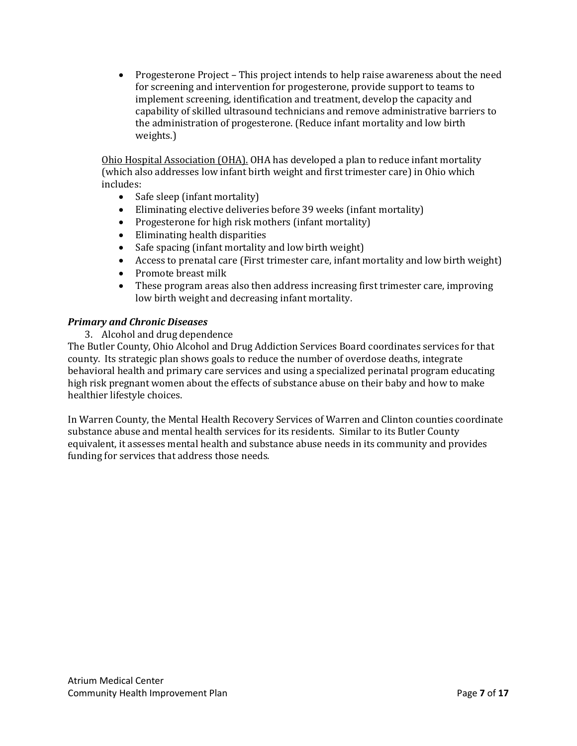• Progesterone Project – This project intends to help raise awareness about the need for screening and intervention for progesterone, provide support to teams to implement screening, identification and treatment, develop the capacity and capability of skilled ultrasound technicians and remove administrative barriers to the administration of progesterone. (Reduce infant mortality and low birth weights.)

Ohio Hospital Association (OHA). OHA has developed a plan to reduce infant mortality (which also addresses low infant birth weight and first trimester care) in Ohio which includes:

- Safe sleep (infant mortality)<br>• Eliminating elective deliverie
- Eliminating elective deliveries before 39 weeks (infant mortality)
- Progesterone for high risk mothers (infant mortality)<br>• Eliminating health disparities
- Eliminating health disparities
- Safe spacing (infant mortality and low birth weight)
- Access to prenatal care (First trimester care, infant mortality and low birth weight)<br>• Promote breast milk
- Promote breast milk<br>• These program areas
- These program areas also then address increasing first trimester care, improving low birth weight and decreasing infant mortality.

# *Primary and Chronic Diseases*

3. Alcohol and drug dependence

The Butler County, Ohio Alcohol and Drug Addiction Services Board coordinates services for that county. Its strategic plan shows goals to reduce the number of overdose deaths, integrate behavioral health and primary care services and using a specialized perinatal program educating high risk pregnant women about the effects of substance abuse on their baby and how to make healthier lifestyle choices.

In Warren County, the Mental Health Recovery Services of Warren and Clinton counties coordinate substance abuse and mental health services for its residents. Similar to its Butler County equivalent, it assesses mental health and substance abuse needs in its community and provides funding for services that address those needs.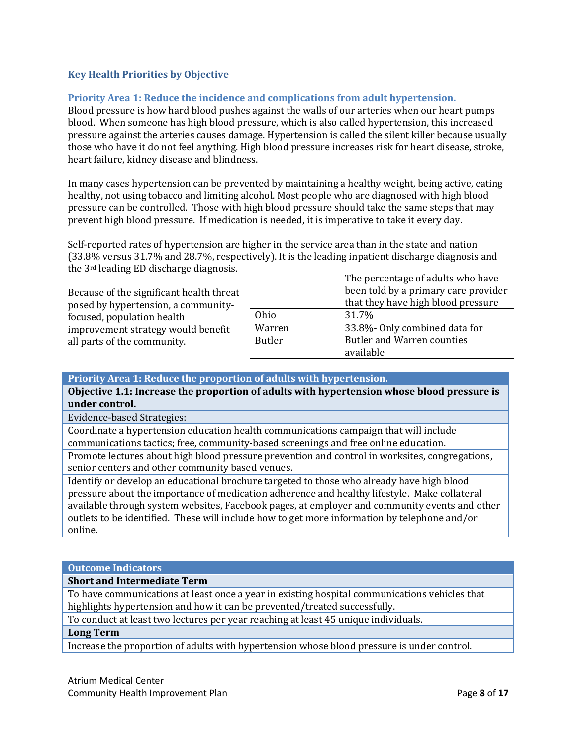# <span id="page-8-0"></span>**Key Health Priorities by Objective**

# <span id="page-8-1"></span>**Priority Area 1: Reduce the incidence and complications from adult hypertension.**

Blood pressure is how hard blood pushes against the walls of our arteries when our heart pumps blood. When someone has high blood pressure, which is also called hypertension, this increased pressure against the arteries causes damage. Hypertension is called the silent killer because usually those who have it do not feel anything. High blood pressure increases risk for heart disease, stroke, heart failure, kidney disease and blindness.

In many cases hypertension can be prevented by maintaining a healthy weight, being active, eating healthy, not using tobacco and limiting alcohol. Most people who are diagnosed with high blood pressure can be controlled. Those with high blood pressure should take the same steps that may prevent high blood pressure. If medication is needed, it is imperative to take it every day.

Self-reported rates of hypertension are higher in the service area than in the state and nation (33.8% versus 31.7% and 28.7%, respectively). It is the leading inpatient discharge diagnosis and

the 3rd leading ED discharge diagnosis.

Because of the significant health threat posed by hypertension, a communityfocused, population health improvement strategy would benefit all parts of the community.

|               | The percentage of adults who have    |  |  |
|---------------|--------------------------------------|--|--|
|               | been told by a primary care provider |  |  |
|               | that they have high blood pressure   |  |  |
| Ohio.         | 31.7%                                |  |  |
| Warren        | 33.8%- Only combined data for        |  |  |
| <b>Butler</b> | <b>Butler and Warren counties</b>    |  |  |
|               | available                            |  |  |

## **Priority Area 1: Reduce the proportion of adults with hypertension.**

**Objective 1.1: Increase the proportion of adults with hypertension whose blood pressure is under control.**

Evidence-based Strategies:

Coordinate a hypertension education health communications campaign that will include communications tactics; free, community-based screenings and free online education.

Promote lectures about high blood pressure prevention and control in worksites, congregations, senior centers and other community based venues.

Identify or develop an educational brochure targeted to those who already have high blood pressure about the importance of medication adherence and healthy lifestyle. Make collateral available through system websites, Facebook pages, at employer and community events and other outlets to be identified. These will include how to get more information by telephone and/or online.

#### **Outcome Indicators**

**Short and Intermediate Term**

To have communications at least once a year in existing hospital communications vehicles that highlights hypertension and how it can be prevented/treated successfully.

To conduct at least two lectures per year reaching at least 45 unique individuals.

# **Long Term**

Increase the proportion of adults with hypertension whose blood pressure is under control.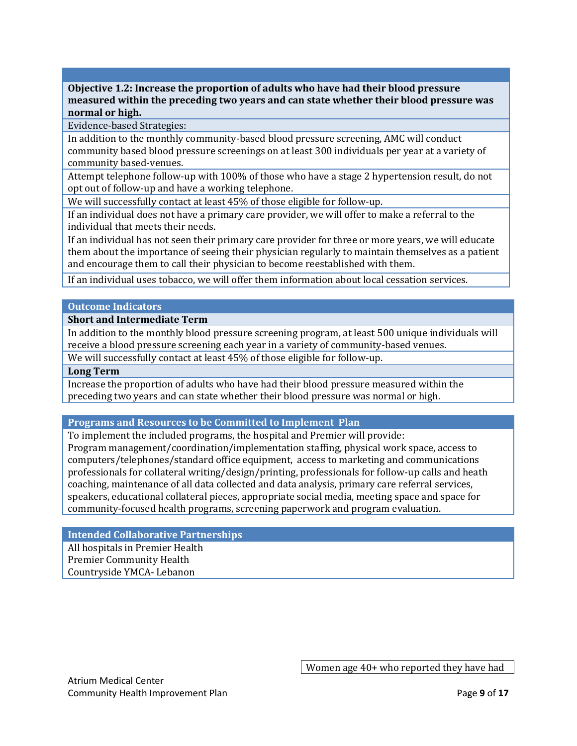**Objective 1.2: Increase the proportion of adults who have had their blood pressure measured within the preceding two years and can state whether their blood pressure was normal or high.**

Evidence-based Strategies:

In addition to the monthly community-based blood pressure screening, AMC will conduct community based blood pressure screenings on at least 300 individuals per year at a variety of community based-venues.

Attempt telephone follow-up with 100% of those who have a stage 2 hypertension result, do not opt out of follow-up and have a working telephone.

We will successfully contact at least 45% of those eligible for follow-up.

If an individual does not have a primary care provider, we will offer to make a referral to the individual that meets their needs.

If an individual has not seen their primary care provider for three or more years, we will educate them about the importance of seeing their physician regularly to maintain themselves as a patient and encourage them to call their physician to become reestablished with them.

If an individual uses tobacco, we will offer them information about local cessation services.

## **Outcome Indicators**

## **Short and Intermediate Term**

In addition to the monthly blood pressure screening program, at least 500 unique individuals will receive a blood pressure screening each year in a variety of community-based venues.

We will successfully contact at least 45% of those eligible for follow-up.

#### **Long Term**

Increase the proportion of adults who have had their blood pressure measured within the preceding two years and can state whether their blood pressure was normal or high.

## **Programs and Resources to be Committed to Implement Plan**

To implement the included programs, the hospital and Premier will provide: Program management/coordination/implementation staffing, physical work space, access to computers/telephones/standard office equipment, access to marketing and communications professionals for collateral writing/design/printing, professionals for follow-up calls and heath coaching, maintenance of all data collected and data analysis, primary care referral services, speakers, educational collateral pieces, appropriate social media, meeting space and space for community-focused health programs, screening paperwork and program evaluation.

**Intended Collaborative Partnerships**

All hospitals in Premier Health Premier Community Health Countryside YMCA- Lebanon

Atrium Medical Center Community Health Improvement Plan Page **9** of **17**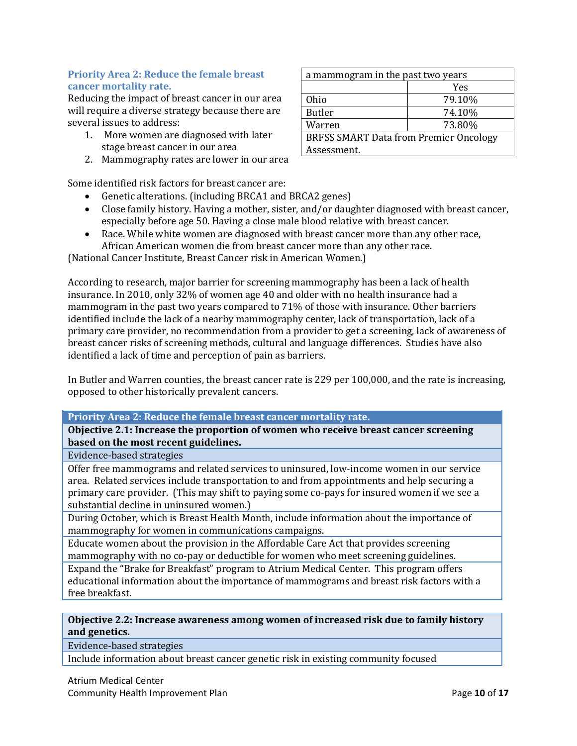# <span id="page-10-0"></span>**Priority Area 2: Reduce the female breast cancer mortality rate.**

Reducing the impact of breast cancer in our area will require a diverse strategy because there are several issues to address:

- 1. More women are diagnosed with later stage breast cancer in our area
- 2. Mammography rates are lower in our area

Some identified risk factors for breast cancer are:

- Genetic alterations. (including BRCA1 and BRCA2 genes)
- Close family history. Having a mother, sister, and/or daughter diagnosed with breast cancer, especially before age 50. Having a close male blood relative with breast cancer.
- Race. While white women are diagnosed with breast cancer more than any other race, African American women die from breast cancer more than any other race.

(National Cancer Institute, Breast Cancer risk in American Women.)

According to research, major barrier for screening mammography has been a lack of health insurance. In 2010, only 32% of women age 40 and older with no health insurance had a mammogram in the past two years compared to 71% of those with insurance. Other barriers identified include the lack of a nearby mammography center, lack of transportation, lack of a primary care provider, no recommendation from a provider to get a screening, lack of awareness of breast cancer risks of screening methods, cultural and language differences. Studies have also identified a lack of time and perception of pain as barriers.

In Butler and Warren counties, the breast cancer rate is 229 per 100,000, and the rate is increasing, opposed to other historically prevalent cancers.

## **Priority Area 2: Reduce the female breast cancer mortality rate.**

**Objective 2.1: Increase the proportion of women who receive breast cancer screening based on the most recent guidelines.**

Evidence-based strategies

Offer free mammograms and related services to uninsured, low-income women in our service area. Related services include transportation to and from appointments and help securing a primary care provider. (This may shift to paying some co-pays for insured women if we see a substantial decline in uninsured women.)

During October, which is Breast Health Month, include information about the importance of mammography for women in communications campaigns.

Educate women about the provision in the Affordable Care Act that provides screening mammography with no co-pay or deductible for women who meet screening guidelines.

Expand the "Brake for Breakfast" program to Atrium Medical Center. This program offers educational information about the importance of mammograms and breast risk factors with a free breakfast.

# **Objective 2.2: Increase awareness among women of increased risk due to family history and genetics.**

Evidence-based strategies

Include information about breast cancer genetic risk in existing community focused

| a mammogram in the past two years             |        |  |  |
|-----------------------------------------------|--------|--|--|
|                                               | Yes    |  |  |
| Ohio                                          | 79.10% |  |  |
| <b>Butler</b>                                 | 74.10% |  |  |
| Warren                                        | 73.80% |  |  |
| <b>BRFSS SMART Data from Premier Oncology</b> |        |  |  |
| Assessment.                                   |        |  |  |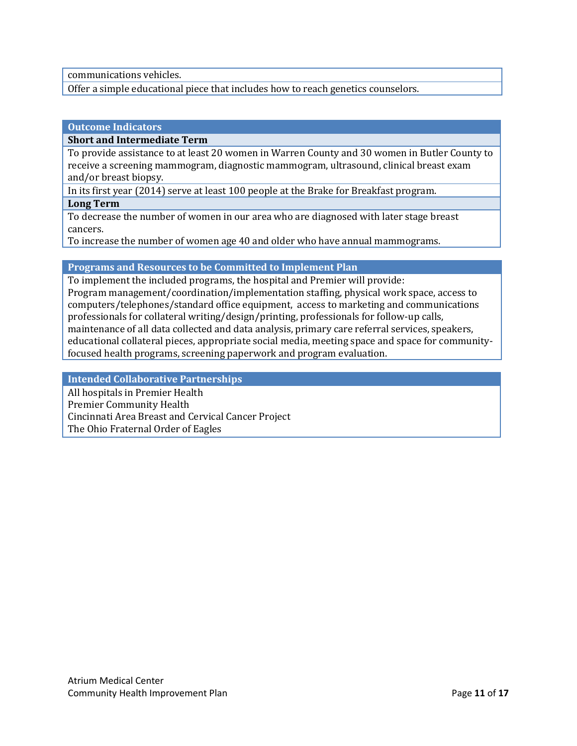communications vehicles.

Offer a simple educational piece that includes how to reach genetics counselors.

## **Outcome Indicators**

#### **Short and Intermediate Term**

To provide assistance to at least 20 women in Warren County and 30 women in Butler County to receive a screening mammogram, diagnostic mammogram, ultrasound, clinical breast exam and/or breast biopsy.

In its first year (2014) serve at least 100 people at the Brake for Breakfast program.

#### **Long Term**

To decrease the number of women in our area who are diagnosed with later stage breast cancers.

To increase the number of women age 40 and older who have annual mammograms.

## **Programs and Resources to be Committed to Implement Plan**

To implement the included programs, the hospital and Premier will provide: Program management/coordination/implementation staffing, physical work space, access to computers/telephones/standard office equipment, access to marketing and communications professionals for collateral writing/design/printing, professionals for follow-up calls, maintenance of all data collected and data analysis, primary care referral services, speakers, educational collateral pieces, appropriate social media, meeting space and space for communityfocused health programs, screening paperwork and program evaluation.

## **Intended Collaborative Partnerships**

All hospitals in Premier Health Premier Community Health Cincinnati Area Breast and Cervical Cancer Project The Ohio Fraternal Order of Eagles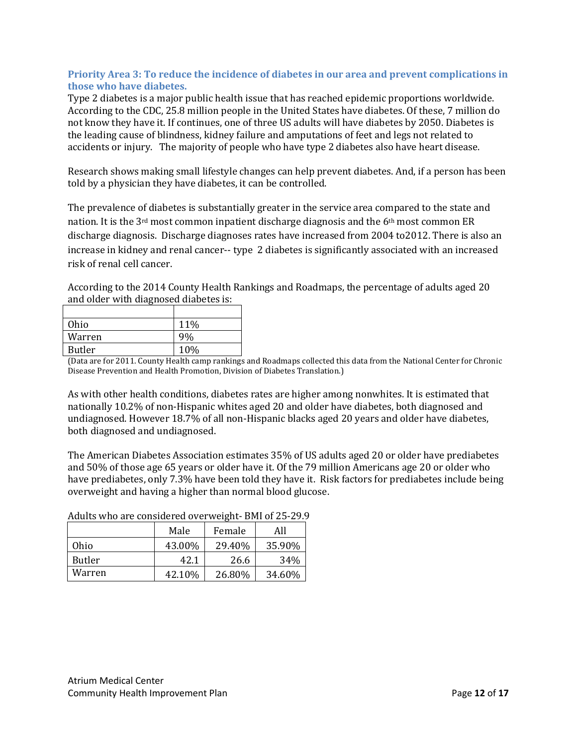# <span id="page-12-0"></span>**Priority Area 3: To reduce the incidence of diabetes in our area and prevent complications in those who have diabetes.**

Type 2 diabetes is a major public health issue that has reached epidemic proportions worldwide. According to the CDC, 25.8 million people in the United States have diabetes. Of these, 7 million do not know they have it. If continues, one of three US adults will have diabetes by 2050. Diabetes is the leading cause of blindness, kidney failure and amputations of feet and legs not related to accidents or injury. The majority of people who have type 2 diabetes also have heart disease.

Research shows making small lifestyle changes can help prevent diabetes. And, if a person has been told by a physician they have diabetes, it can be controlled.

The prevalence of diabetes is substantially greater in the service area compared to the state and nation. It is the 3<sup>rd</sup> most common inpatient discharge diagnosis and the 6<sup>th</sup> most common ER discharge diagnosis. Discharge diagnoses rates have increased from 2004 to2012. There is also an increase in kidney and renal cancer-- type 2 diabetes is significantly associated with an increased risk of renal cell cancer.

According to the 2014 County Health Rankings and Roadmaps, the percentage of adults aged 20 and older with diagnosed diabetes is:

| Ohio   | 11% |
|--------|-----|
| Warren | 9%  |
| Butler | 10% |

(Data are for 2011. County Health camp rankings and Roadmaps collected this data from the National Center for Chronic Disease Prevention and Health Promotion, Division of Diabetes Translation.)

As with other health conditions, diabetes rates are higher among nonwhites. It is estimated that nationally 10.2% of non-Hispanic whites aged 20 and older have diabetes, both diagnosed and undiagnosed. However 18.7% of all non-Hispanic blacks aged 20 years and older have diabetes, both diagnosed and undiagnosed.

The American Diabetes Association estimates 35% of US adults aged 20 or older have prediabetes and 50% of those age 65 years or older have it. Of the 79 million Americans age 20 or older who have prediabetes, only 7.3% have been told they have it. Risk factors for prediabetes include being overweight and having a higher than normal blood glucose.

|        | Male   | Female | All    |
|--------|--------|--------|--------|
| Ohio   | 43.00% | 29.40% | 35.90% |
| Butler | 42.1   | 26.6   | 34%    |
| Warren | 42.10% | 26.80% | 34.60% |

Adults who are considered overweight- BMI of 25-29.9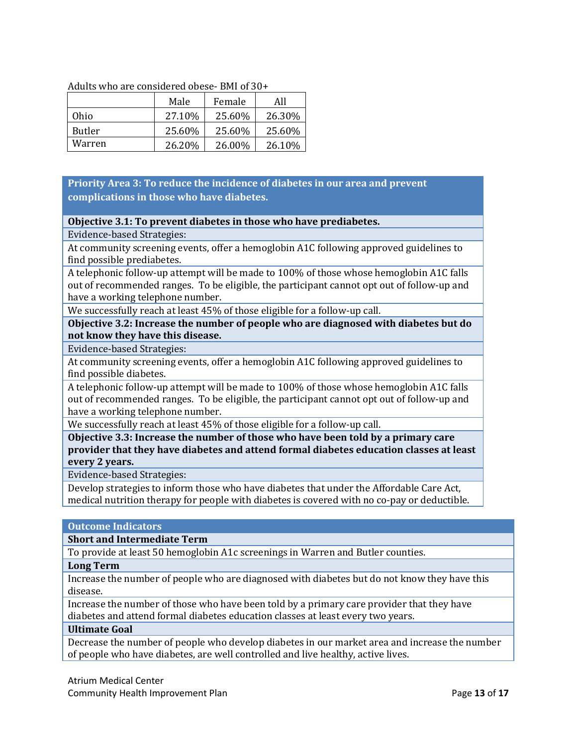| Adults who are considered obese- BMI of 30+ |  |  |
|---------------------------------------------|--|--|
|                                             |  |  |

|               | Male    | Female | All    |
|---------------|---------|--------|--------|
| Ohio          | 27.10\% | 25.60% | 26.30% |
| <b>Butler</b> | 25.60%  | 25.60% | 25.60% |
| Warren        | 26.20%  | 26.00% | 26.10% |

# **Priority Area 3: To reduce the incidence of diabetes in our area and prevent complications in those who have diabetes.**

# **Objective 3.1: To prevent diabetes in those who have prediabetes.**

Evidence-based Strategies:

At community screening events, offer a hemoglobin A1C following approved guidelines to find possible prediabetes.

A telephonic follow-up attempt will be made to 100% of those whose hemoglobin A1C falls out of recommended ranges. To be eligible, the participant cannot opt out of follow-up and have a working telephone number.

We successfully reach at least 45% of those eligible for a follow-up call.

**Objective 3.2: Increase the number of people who are diagnosed with diabetes but do not know they have this disease.**

Evidence-based Strategies:

At community screening events, offer a hemoglobin A1C following approved guidelines to find possible diabetes.

A telephonic follow-up attempt will be made to 100% of those whose hemoglobin A1C falls out of recommended ranges. To be eligible, the participant cannot opt out of follow-up and have a working telephone number.

We successfully reach at least 45% of those eligible for a follow-up call.

**Objective 3.3: Increase the number of those who have been told by a primary care provider that they have diabetes and attend formal diabetes education classes at least every 2 years.**

Evidence-based Strategies:

Develop strategies to inform those who have diabetes that under the Affordable Care Act, medical nutrition therapy for people with diabetes is covered with no co-pay or deductible.

# **Outcome Indicators**

**Short and Intermediate Term**

To provide at least 50 hemoglobin A1c screenings in Warren and Butler counties.

## **Long Term**

Increase the number of people who are diagnosed with diabetes but do not know they have this disease.

Increase the number of those who have been told by a primary care provider that they have diabetes and attend formal diabetes education classes at least every two years.

## **Ultimate Goal**

Decrease the number of people who develop diabetes in our market area and increase the number of people who have diabetes, are well controlled and live healthy, active lives.

Atrium Medical Center Community Health Improvement Plan **Page 13** of 17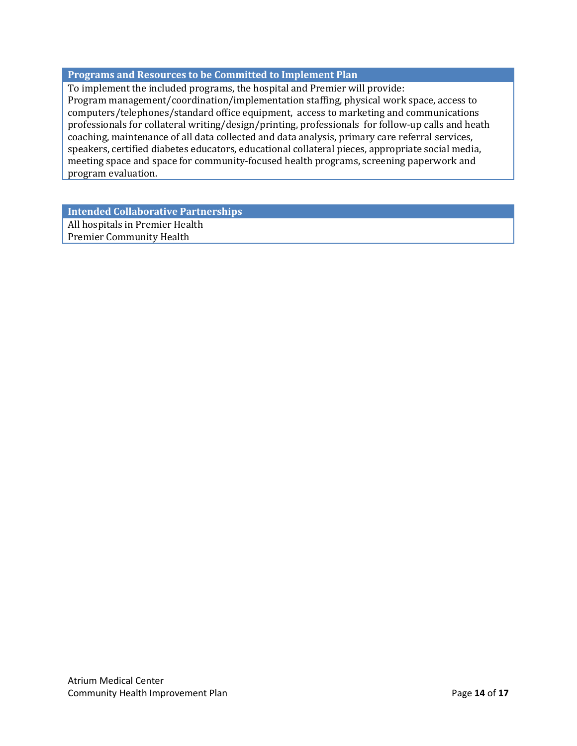# **Programs and Resources to be Committed to Implement Plan**

To implement the included programs, the hospital and Premier will provide: Program management/coordination/implementation staffing, physical work space, access to computers/telephones/standard office equipment, access to marketing and communications professionals for collateral writing/design/printing, professionals for follow-up calls and heath coaching, maintenance of all data collected and data analysis, primary care referral services, speakers, certified diabetes educators, educational collateral pieces, appropriate social media, meeting space and space for community-focused health programs, screening paperwork and program evaluation.

**Intended Collaborative Partnerships**

All hospitals in Premier Health Premier Community Health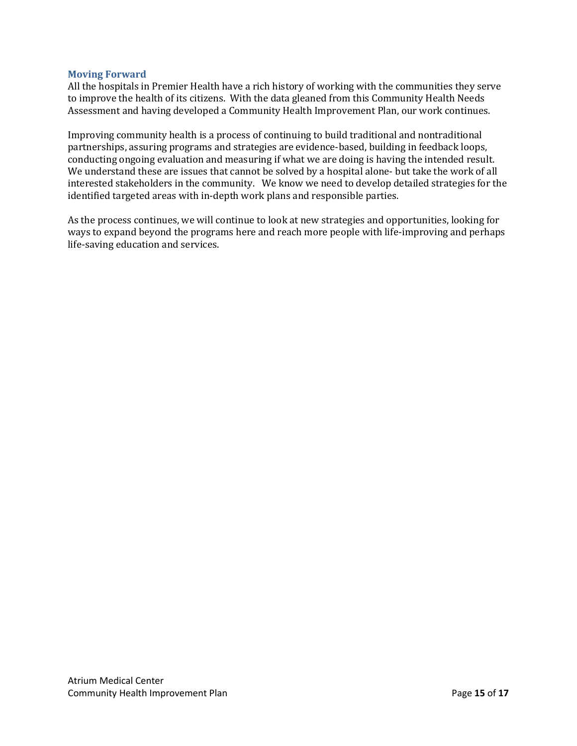## <span id="page-15-0"></span>**Moving Forward**

All the hospitals in Premier Health have a rich history of working with the communities they serve to improve the health of its citizens. With the data gleaned from this Community Health Needs Assessment and having developed a Community Health Improvement Plan, our work continues.

Improving community health is a process of continuing to build traditional and nontraditional partnerships, assuring programs and strategies are evidence-based, building in feedback loops, conducting ongoing evaluation and measuring if what we are doing is having the intended result. We understand these are issues that cannot be solved by a hospital alone- but take the work of all interested stakeholders in the community. We know we need to develop detailed strategies for the identified targeted areas with in-depth work plans and responsible parties.

As the process continues, we will continue to look at new strategies and opportunities, looking for ways to expand beyond the programs here and reach more people with life-improving and perhaps life-saving education and services.